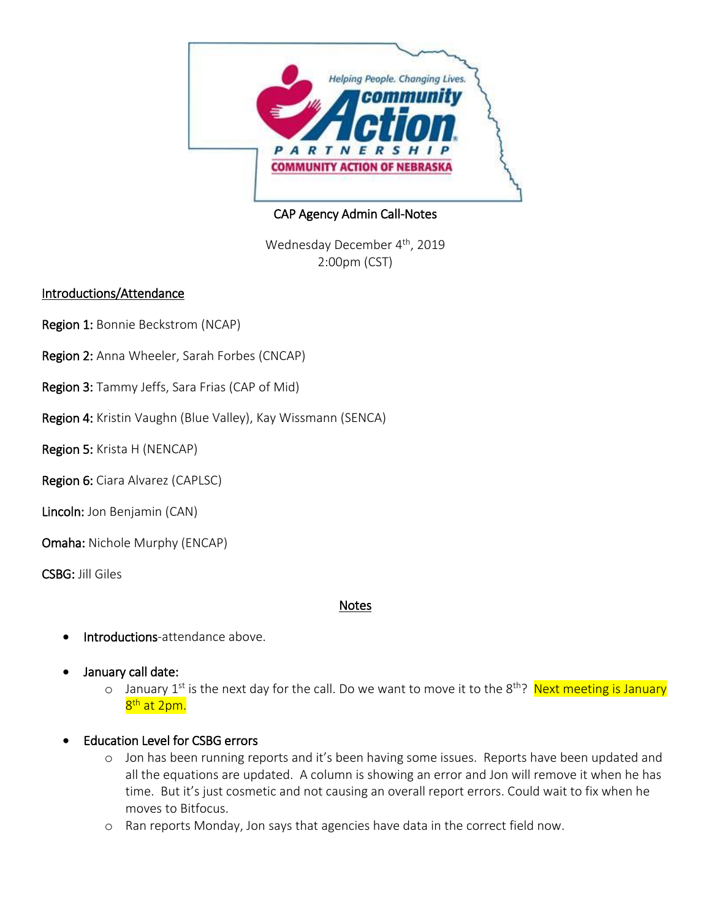

CAP Agency Admin Call-Notes

Wednesday December 4<sup>th</sup>, 2019 2:00pm (CST)

### Introductions/Attendance

- Region 1: Bonnie Beckstrom (NCAP)
- Region 2: Anna Wheeler, Sarah Forbes (CNCAP)
- Region 3: Tammy Jeffs, Sara Frias (CAP of Mid)
- Region 4: Kristin Vaughn (Blue Valley), Kay Wissmann (SENCA)
- Region 5: Krista H (NENCAP)
- Region 6: Ciara Alvarez (CAPLSC)
- Lincoln: Jon Benjamin (CAN)
- Omaha: Nichole Murphy (ENCAP)
- CSBG: Jill Giles

### Notes

- Introductions-attendance above.
- January call date:
	- o January 1<sup>st</sup> is the next day for the call. Do we want to move it to the 8<sup>th</sup>? Next meeting is January <mark>8<sup>th</sup> at 2pm.</mark>
- Education Level for CSBG errors
	- o Jon has been running reports and it's been having some issues. Reports have been updated and all the equations are updated. A column is showing an error and Jon will remove it when he has time. But it's just cosmetic and not causing an overall report errors. Could wait to fix when he moves to Bitfocus.
	- o Ran reports Monday, Jon says that agencies have data in the correct field now.